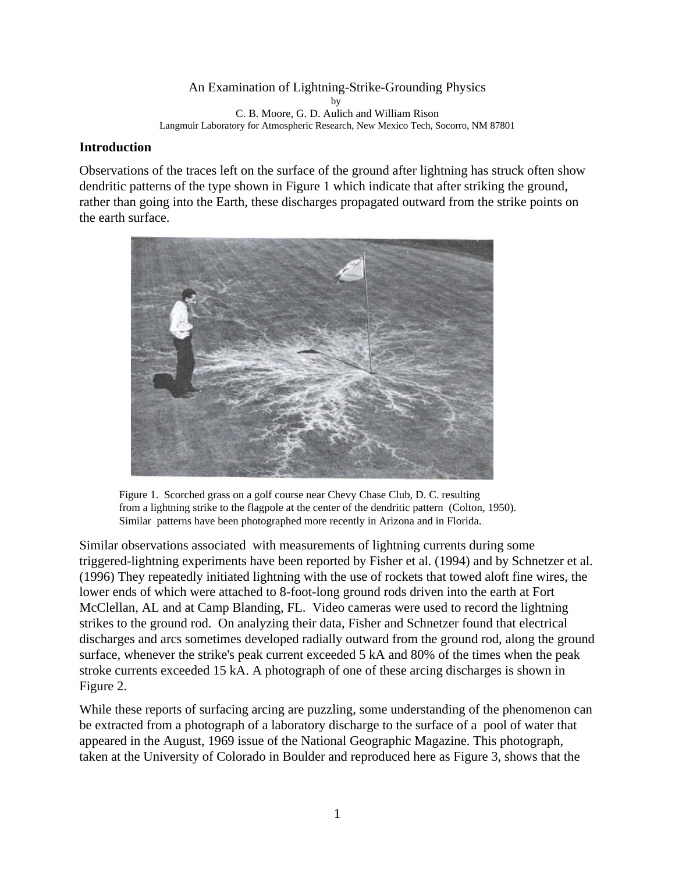#### An Examination of Lightning-Strike-Grounding Physics by C. B. Moore, G. D. Aulich and William Rison Langmuir Laboratory for Atmospheric Research, New Mexico Tech, Socorro, NM 87801

## **Introduction**

Observations of the traces left on the surface of the ground after lightning has struck often show dendritic patterns of the type shown in Figure 1 which indicate that after striking the ground, rather than going into the Earth, these discharges propagated outward from the strike points on the earth surface.



Figure 1. Scorched grass on a golf course near Chevy Chase Club, D. C. resulting from a lightning strike to the flagpole at the center of the dendritic pattern (Colton, 1950). Similar patterns have been photographed more recently in Arizona and in Florida..

Similar observations associated with measurements of lightning currents during some triggered-lightning experiments have been reported by Fisher et al. (1994) and by Schnetzer et al. (1996) They repeatedly initiated lightning with the use of rockets that towed aloft fine wires, the lower ends of which were attached to 8-foot-long ground rods driven into the earth at Fort McClellan, AL and at Camp Blanding, FL. Video cameras were used to record the lightning strikes to the ground rod. On analyzing their data, Fisher and Schnetzer found that electrical discharges and arcs sometimes developed radially outward from the ground rod, along the ground surface, whenever the strike's peak current exceeded 5 kA and 80% of the times when the peak stroke currents exceeded 15 kA. A photograph of one of these arcing discharges is shown in Figure 2.

While these reports of surfacing arcing are puzzling, some understanding of the phenomenon can be extracted from a photograph of a laboratory discharge to the surface of a pool of water that appeared in the August, 1969 issue of the National Geographic Magazine. This photograph, taken at the University of Colorado in Boulder and reproduced here as Figure 3, shows that the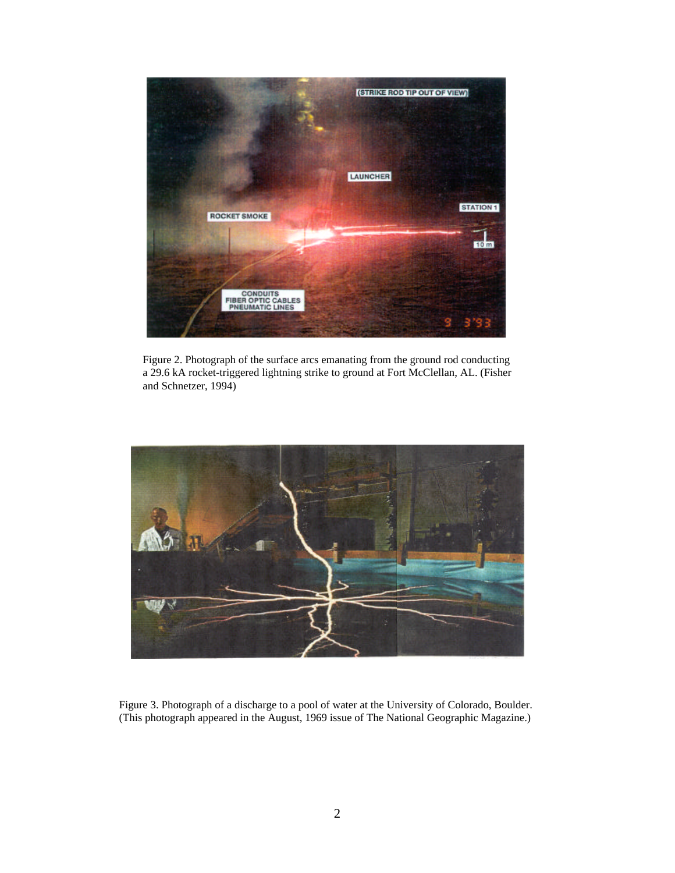

Figure 2. Photograph of the surface arcs emanating from the ground rod conducting a 29.6 kA rocket-triggered lightning strike to ground at Fort McClellan, AL. (Fisher and Schnetzer, 1994)



Figure 3. Photograph of a discharge to a pool of water at the University of Colorado, Boulder. (This photograph appeared in the August, 1969 issue of The National Geographic Magazine.)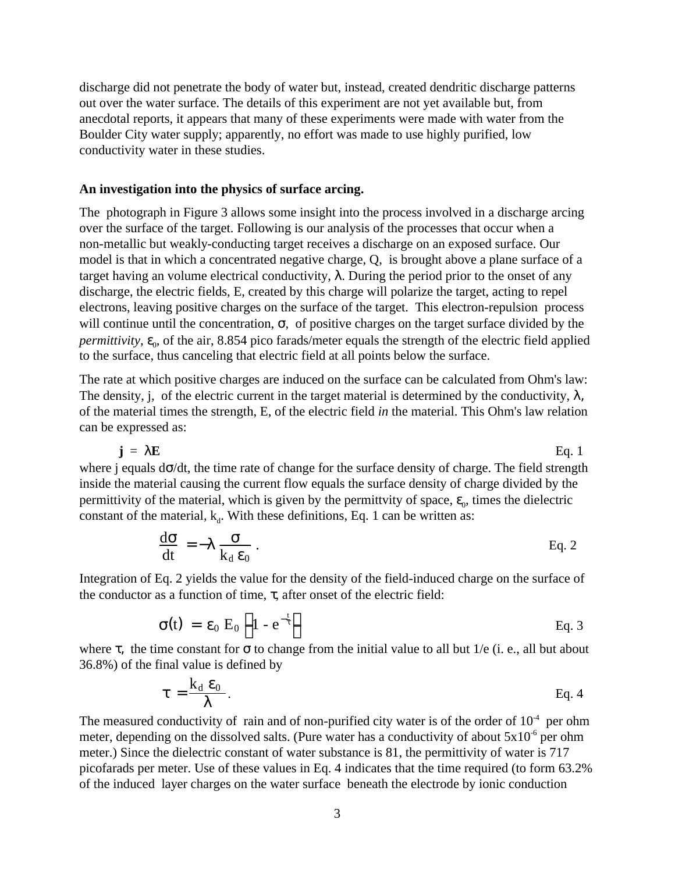discharge did not penetrate the body of water but, instead, created dendritic discharge patterns out over the water surface. The details of this experiment are not yet available but, from anecdotal reports, it appears that many of these experiments were made with water from the Boulder City water supply; apparently, no effort was made to use highly purified, low conductivity water in these studies.

#### **An investigation into the physics of surface arcing.**

The photograph in Figure 3 allows some insight into the process involved in a discharge arcing over the surface of the target. Following is our analysis of the processes that occur when a non-metallic but weakly-conducting target receives a discharge on an exposed surface. Our model is that in which a concentrated negative charge, Q, is brought above a plane surface of a target having an volume electrical conductivity,  $\lambda$ . During the period prior to the onset of any discharge, the electric fields, E, created by this charge will polarize the target, acting to repel electrons, leaving positive charges on the surface of the target. This electron-repulsion process will continue until the concentration,  $\sigma$ , of positive charges on the target surface divided by the *permittivity,*  $\varepsilon_{0}$ , of the air, 8.854 pico farads/meter equals the strength of the electric field applied to the surface, thus canceling that electric field at all points below the surface.

The rate at which positive charges are induced on the surface can be calculated from Ohm's law: The density, j, of the electric current in the target material is determined by the conductivity,  $\lambda$ , of the material times the strength, E, of the electric field *in* the material. This Ohm's law relation can be expressed as:

 $\mathbf{j} = \lambda \mathbf{E}$  Eq. 1

where j equals dσ/dt, the time rate of change for the surface density of charge. The field strength inside the material causing the current flow equals the surface density of charge divided by the permittivity of the material, which is given by the permittvity of space,  $\varepsilon_0$ , times the dielectric constant of the material,  $k_d$ . With these definitions, Eq. 1 can be written as:

$$
\frac{d\sigma}{dt} = -\lambda \frac{\sigma}{k_d \epsilon_0}.
$$
 Eq. 2

Integration of Eq. 2 yields the value for the density of the field-induced charge on the surface of the conductor as a function of time,  $τ$ , after onset of the electric field:

$$
\sigma(t) = \varepsilon_0 E_0 \left( 1 - e^{-\frac{t}{\tau}} \right)
$$
 Eq. 3

where  $\tau$ , the time constant for  $\sigma$  to change from the initial value to all but 1/e (i. e., all but about 36.8%) of the final value is defined by

$$
\tau = \frac{k_d \, \epsilon_0}{\lambda}.
$$
 Eq. 4

The measured conductivity of rain and of non-purified city water is of the order of  $10^{-4}$  per ohm meter, depending on the dissolved salts. (Pure water has a conductivity of about  $5x10^{-6}$  per ohm meter.) Since the dielectric constant of water substance is 81, the permittivity of water is 717 picofarads per meter. Use of these values in Eq. 4 indicates that the time required (to form 63.2% of the induced layer charges on the water surface beneath the electrode by ionic conduction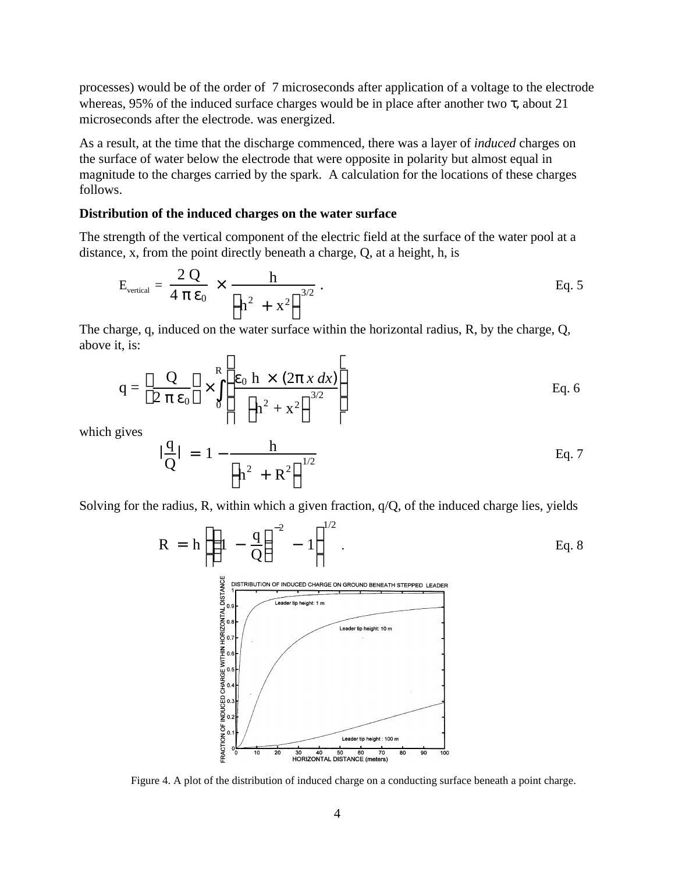processes) would be of the order of 7 microseconds after application of a voltage to the electrode whereas, 95% of the induced surface charges would be in place after another two  $\tau$ , about 21 microseconds after the electrode. was energized.

As a result, at the time that the discharge commenced, there was a layer of *induced* charges on the surface of water below the electrode that were opposite in polarity but almost equal in magnitude to the charges carried by the spark. A calculation for the locations of these charges follows.

#### **Distribution of the induced charges on the water surface**

The strength of the vertical component of the electric field at the surface of the water pool at a distance, x, from the point directly beneath a charge, Q, at a height, h, is

$$
E_{\text{vertical}} = \frac{2 Q}{4 \pi \epsilon_0} \times \frac{h}{\left(h^2 + x^2\right)^{3/2}}.
$$
 Eq. 5

The charge, q, induced on the water surface within the horizontal radius, R, by the charge, Q, above it, is:  $\Gamma$  $\mathbf{I}$ 

$$
q = \left(\frac{Q}{2 \pi \epsilon_0}\right) \times \int_0^R \left[\frac{\epsilon_0 h \times (2 \pi x dx)}{\left(h^2 + x^2\right)^{3/2}}\right]
$$
 Eq. 6

which gives

$$
\frac{q}{Q} = 1 - \frac{h}{\left(h^2 + R^2\right)^{1/2}}
$$
 Eq. 7

Solving for the radius, R, within which a given fraction,  $q/Q$ , of the induced charge lies, yields

$$
R = h \left[ \left( 1 - \frac{q}{Q} \right)^{-2} - 1 \right]^{1/2}.
$$
 Eq. 8  
\n
$$
\sum_{\substack{p \text{ IN TRIBUTION OF INDUCED CHARGE ON GROMID BENEATH STEPPED LEADER} \text{EQ.}}^{1/2}
$$
 Eq. 8  
\n
$$
\sum_{\substack{p \text{ IN CRID} \text{U.S.} \text{Caater tip height: 10m} \text{Leader tip height: 10m} \text{Leader tip height: 10m} \text{Leader tip height: 10m} \text{Leader tip height: 10m} \text{Leader tip height: 100m} \text{Leader tip height: 100m} \text{Leader tip height: 100m} \text{Leader tip height: 100m} \text{Leader tip height: 100m} \text{Leader tip height: 100m} \text{Leader tip height: 100m} \text{Lecher pair: 100m} \text{Lecher pair} \text{Mevat tip height: 100m} \text{Lecher pair} \text{Mevat tip height: 100m} \text{Lecher pair} \text{Mevat tip height: 100m} \text{Lecher pair} \text{Mevat tip height: 100m} \text{Lebert tip height: 100m} \text{Lebert tip height: 100m} \text{Lebert tip height: 100m} \text{Lebert tip height: 100m} \text{Lebert tip height: 100m} \text{Lebert tip height: 100m} \text{Lebert tip height: 100m} \text{Lebert tip height: 100m} \text{Lebert tip height: 100m} \text{Lebert tip height: 100m} \text{Lebert tip height: 100m} \text{Lebert tip height: 100m} \text{Lebert tip height: 100m} \text{Lebert tip height: 100m} \text{Lebert tip height: 100m} \text{Lebert tip height: 100m} \text{Lebert tip height: 100m} \text{Lebert tip height: 100m} \text{Lebert tip height: 100m} \text{Lebert tip height: 100m} \text{Lebert tip height: 100m} \text{Lebert tip height: 100m} \text{Lebert tip height: 100m} \text{Lebert tip height: 100m} \text{Lebert tip height: 100m} \text{Lebert tip height: 100m} \text
$$

Figure 4. A plot of the distribution of induced charge on a conducting surface beneath a point charge.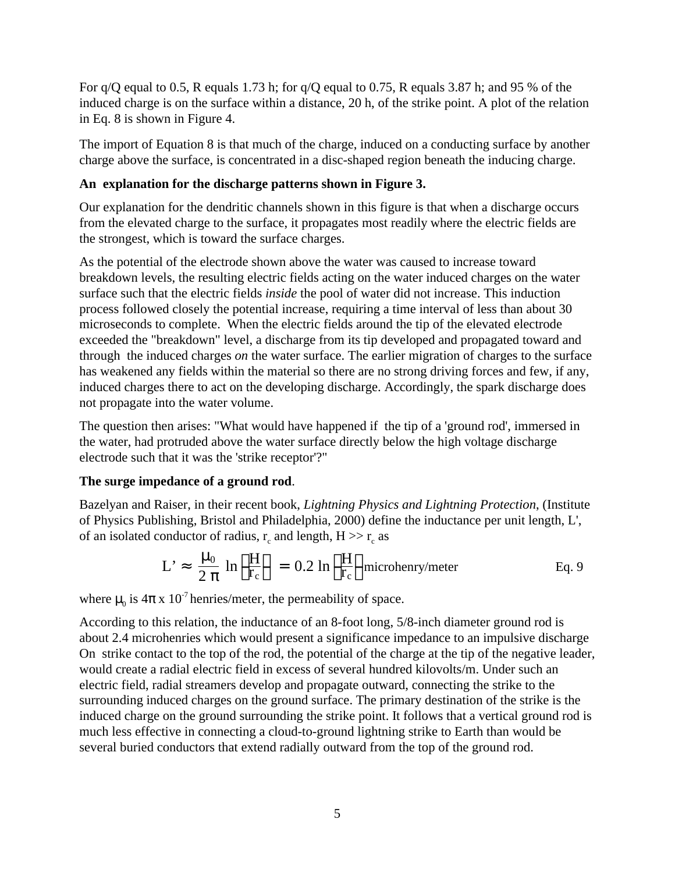For q/Q equal to 0.5, R equals 1.73 h; for q/Q equal to 0.75, R equals 3.87 h; and 95 % of the induced charge is on the surface within a distance, 20 h, of the strike point. A plot of the relation in Eq. 8 is shown in Figure 4.

The import of Equation 8 is that much of the charge, induced on a conducting surface by another charge above the surface, is concentrated in a disc-shaped region beneath the inducing charge.

## **An explanation for the discharge patterns shown in Figure 3.**

Our explanation for the dendritic channels shown in this figure is that when a discharge occurs from the elevated charge to the surface, it propagates most readily where the electric fields are the strongest, which is toward the surface charges.

As the potential of the electrode shown above the water was caused to increase toward breakdown levels, the resulting electric fields acting on the water induced charges on the water surface such that the electric fields *inside* the pool of water did not increase. This induction process followed closely the potential increase, requiring a time interval of less than about 30 microseconds to complete. When the electric fields around the tip of the elevated electrode exceeded the "breakdown" level, a discharge from its tip developed and propagated toward and through the induced charges *on* the water surface. The earlier migration of charges to the surface has weakened any fields within the material so there are no strong driving forces and few, if any, induced charges there to act on the developing discharge. Accordingly, the spark discharge does not propagate into the water volume.

The question then arises: "What would have happened if the tip of a 'ground rod', immersed in the water, had protruded above the water surface directly below the high voltage discharge electrode such that it was the 'strike receptor'?"

# **The surge impedance of a ground rod**.

Bazelyan and Raiser, in their recent book, *Lightning Physics and Lightning Protection*, (Institute of Physics Publishing, Bristol and Philadelphia, 2000) define the inductance per unit length, L', of an isolated conductor of radius,  $r_c$  and length,  $H \gg r_c$  as

$$
L' \approx \frac{\mu_0}{2 \pi} \ln \left( \frac{H}{r_c} \right) = 0.2 \ln \left( \frac{H}{r_c} \right) \text{microhenry/meter}
$$
 Eq. 9

where  $\mu_0$  is  $4\pi$  x 10<sup>-7</sup> henries/meter, the permeability of space.

According to this relation, the inductance of an 8-foot long, 5/8-inch diameter ground rod is about 2.4 microhenries which would present a significance impedance to an impulsive discharge On strike contact to the top of the rod, the potential of the charge at the tip of the negative leader, would create a radial electric field in excess of several hundred kilovolts/m. Under such an electric field, radial streamers develop and propagate outward, connecting the strike to the surrounding induced charges on the ground surface. The primary destination of the strike is the induced charge on the ground surrounding the strike point. It follows that a vertical ground rod is much less effective in connecting a cloud-to-ground lightning strike to Earth than would be several buried conductors that extend radially outward from the top of the ground rod.